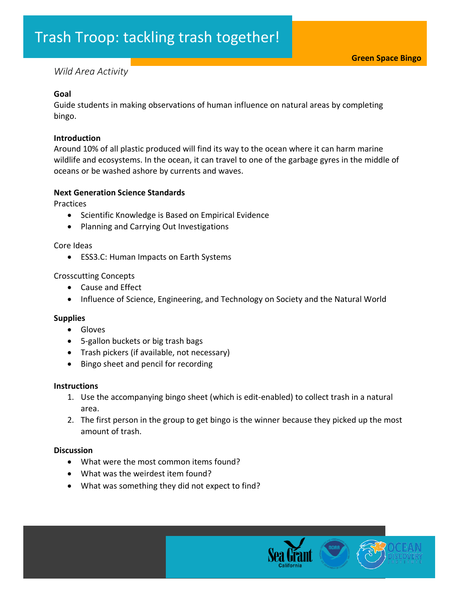# *Wild Area Activity*

#### **Goal**

Guide students in making observations of human influence on natural areas by completing bingo.

#### **Introduction**

Around 10% of all plastic produced will find its way to the ocean where it can harm marine wildlife and ecosystems. In the ocean, it can travel to one of the garbage gyres in the middle of oceans or be washed ashore by currents and waves.

### **Next Generation Science Standards**

**Practices** 

- Scientific Knowledge is Based on Empirical Evidence
- Planning and Carrying Out Investigations

Core Ideas

• ESS3.C: Human Impacts on Earth Systems

# Crosscutting Concepts

- Cause and Effect
- Influence of Science, Engineering, and Technology on Society and the Natural World

# **Supplies**

- Gloves
- 5-gallon buckets or big trash bags
- Trash pickers (if available, not necessary)
- Bingo sheet and pencil for recording

#### **Instructions**

- 1. Use the accompanying bingo sheet (which is edit-enabled) to collect trash in a natural area.
- 2. The first person in the group to get bingo is the winner because they picked up the most amount of trash.

# **Discussion**

- What were the most common items found?
- What was the weirdest item found?
- What was something they did not expect to find?